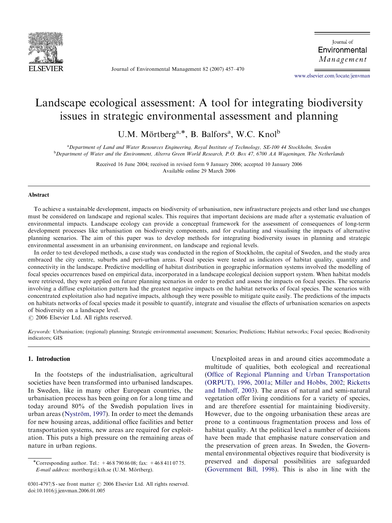

Journal of Environmental Management 82 (2007) 457–470

Journal of Environmental Management

<www.elsevier.com/locate/jenvman>

## Landscape ecological assessment: A tool for integrating biodiversity issues in strategic environmental assessment and planning

U.M. Mörtberg<sup>a,\*</sup>, B. Balfors<sup>a</sup>, W.C. Knol<sup>b</sup>

<sup>a</sup> Department of Land and Water Resources Engineering, Royal Institute of Technology, SE-100 44 Stockholm, Sweden <sup>b</sup> Department of Water and the Environment, Alterra Green World Research, P.O. Box 47, 6700 AA Wageningen, The Netherlands

> Received 16 June 2004; received in revised form 9 January 2006; accepted 10 January 2006 Available online 29 March 2006

## Abstract

To achieve a sustainable development, impacts on biodiversity of urbanisation, new infrastructure projects and other land use changes must be considered on landscape and regional scales. This requires that important decisions are made after a systematic evaluation of environmental impacts. Landscape ecology can provide a conceptual framework for the assessment of consequences of long-term development processes like urbanisation on biodiversity components, and for evaluating and visualising the impacts of alternative planning scenarios. The aim of this paper was to develop methods for integrating biodiversity issues in planning and strategic environmental assessment in an urbanising environment, on landscape and regional levels.

In order to test developed methods, a case study was conducted in the region of Stockholm, the capital of Sweden, and the study area embraced the city centre, suburbs and peri-urban areas. Focal species were tested as indicators of habitat quality, quantity and connectivity in the landscape. Predictive modelling of habitat distribution in geographic information systems involved the modelling of focal species occurrences based on empirical data, incorporated in a landscape ecological decision support system. When habitat models were retrieved, they were applied on future planning scenarios in order to predict and assess the impacts on focal species. The scenario involving a diffuse exploitation pattern had the greatest negative impacts on the habitat networks of focal species. The scenarios with concentrated exploitation also had negative impacts, although they were possible to mitigate quite easily. The predictions of the impacts on habitats networks of focal species made it possible to quantify, integrate and visualise the effects of urbanisation scenarios on aspects of biodiversity on a landscape level.

 $C$  2006 Elsevier Ltd. All rights reserved.

Keywords: Urbanisation; (regional) planning; Strategic environmental assessment; Scenarios; Predictions; Habitat networks; Focal species; Biodiversity indicators; GIS

## 1. Introduction

In the footsteps of the industrialisation, agricultural societies have been transformed into urbanised landscapes. In Sweden, like in many other European countries, the urbanisation process has been going on for a long time and today around 80% of the Swedish population lives in urban areas (Nyström, 1997). In order to meet the demands for new housing areas, additional office facilities and better transportation systems, new areas are required for exploitation. This puts a high pressure on the remaining areas of nature in urban regions.

Unexploited areas in and around cities accommodate a multitude of qualities, both ecological and recreational ([Office of Regional Planning and Urban Transportation](#page--1-0) [\(ORPUT\), 1996, 2001a;](#page--1-0) [Miller and Hobbs, 2002](#page--1-0); [Ricketts](#page--1-0) [and Imhoff, 2003](#page--1-0)). The areas of natural and semi-natural vegetation offer living conditions for a variety of species, and are therefore essential for maintaining biodiversity. However, due to the ongoing urbanisation these areas are prone to a continuous fragmentation process and loss of habitat quality. At the political level a number of decisions have been made that emphasise nature conservation and the preservation of green areas. In Sweden, the Governmental environmental objectives require that biodiversity is preserved and dispersal possibilities are safeguarded ([Government Bill, 1998\)](#page--1-0). This is also in line with the

<sup>\*</sup>Corresponding author. Tel.:  $+4687908608$ ; fax:  $+4684110775$ . E-mail address: mortberg@kth.se (U.M. Mörtberg).

<sup>0301-4797/\$ -</sup> see front matter © 2006 Elsevier Ltd. All rights reserved. doi:10.1016/j.jenvman.2006.01.005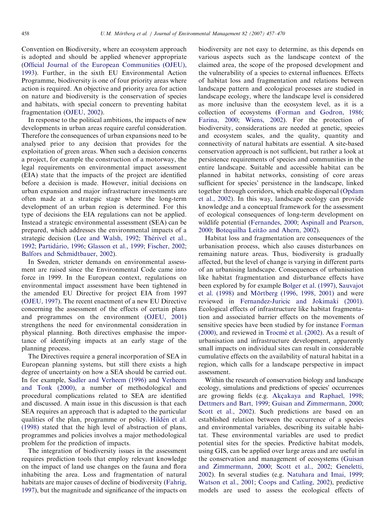Convention on Biodiversity, where an ecosystem approach is adopted and should be applied whenever appropriate [\(Official Journal of the European Communities \(OJEU\),](#page--1-0) [1993\)](#page--1-0). Further, in the sixth EU Environmental Action Programme, biodiversity is one of four priority areas where action is required. An objective and priority area for action on nature and biodiversity is the conservation of species and habitats, with special concern to preventing habitat fragmentation ([OJEU, 2002\)](#page--1-0).

In response to the political ambitions, the impacts of new developments in urban areas require careful consideration. Therefore the consequences of urban expansions need to be analysed prior to any decision that provides for the exploitation of green areas. When such a decision concerns a project, for example the construction of a motorway, the legal requirements on environmental impact assessment (EIA) state that the impacts of the project are identified before a decision is made. However, initial decisions on urban expansion and major infrastructure investments are often made at a strategic stage where the long-term development of an urban region is determined. For this type of decisions the EIA regulations can not be applied. Instead a strategic environmental assessment (SEA) can be prepared, which addresses the environmental impacts of a strategic decision ([Lee and Walsh, 1992;](#page--1-0) Thérivel et al., [1992;](#page--1-0) Partidário, 1996; [Glasson et al., 1999](#page--1-0); [Fischer, 2002](#page--1-0); [Balfors and Schmidtbauer, 2002\)](#page--1-0).

In Sweden, stricter demands on environmental assessment are raised since the Environmental Code came into force in 1999. In the European context, regulations on environmental impact assessment have been tightened in the amended EU Directive for project EIA from 1997 [\(OJEU, 1997\)](#page--1-0). The recent enactment of a new EU Directive concerning the assessment of the effects of certain plans and programmes on the environment ([OJEU, 2001](#page--1-0)) strengthens the need for environmental consideration in physical planning. Both directives emphasise the importance of identifying impacts at an early stage of the planning process.

The Directives require a general incorporation of SEA in European planning systems, but still there exists a high degree of uncertainty on how a SEA should be carried out. In for example, [Sadler and Verheem \(1996\)](#page--1-0) and [Verheem](#page--1-0) [and Tonk \(2000\),](#page--1-0) a number of methodological and procedural complications related to SEA are identified and discussed. A main issue in this discussion is that each SEA requires an approach that is adapted to the particular qualities of the plan, programme or policy. Hildén et al. [\(1998\)](#page--1-0) stated that the high level of abstraction of plans, programmes and policies involves a major methodological problem for the prediction of impacts.

The integration of biodiversity issues in the assessment requires prediction tools that employ relevant knowledge on the impact of land use changes on the fauna and flora inhabiting the area. Loss and fragmentation of natural habitats are major causes of decline of biodiversity [\(Fahrig,](#page--1-0) [1997\)](#page--1-0), but the magnitude and significance of the impacts on biodiversity are not easy to determine, as this depends on various aspects such as the landscape context of the claimed area, the scope of the proposed development and the vulnerability of a species to external influences. Effects of habitat loss and fragmentation and relations between landscape pattern and ecological processes are studied in landscape ecology, where the landscape level is considered as more inclusive than the ecosystem level, as it is a collection of ecosystems [\(Forman and Godron, 1986](#page--1-0); [Farina, 2000;](#page--1-0) [Wiens, 2002](#page--1-0)). For the protection of biodiversity, considerations are needed at genetic, species and ecosystem scales, and the quality, quantity and connectivity of natural habitats are essential. A site-based conservation approach is not sufficient, but rather a look at persistence requirements of species and communities in the entire landscape. Suitable and accessible habitat can be planned in habitat networks, consisting of core areas sufficient for species' persistence in the landscape, linked together through corridors, which enable dispersal ([Opdam](#page--1-0) [et al., 2002\)](#page--1-0). In this way, landscape ecology can provide knowledge and a conceptual framework for the assessment of ecological consequences of long-term development on wildlife potential ([Fernandes, 2000;](#page--1-0) [Aspinall and Pearson,](#page--1-0) [2000;](#page--1-0) Botequilha Leitão and Ahern, 2002).

Habitat loss and fragmentation are consequences of the urbanisation process, which also causes disturbances on remaining nature areas. Thus, biodiversity is gradually affected, but the level of change is varying in different parts of an urbanising landscape. Consequences of urbanisation like habitat fragmentation and disturbance effects have been explored by for example [Bolger et al. \(1997\),](#page--1-0) [Sauvajot](#page--1-0) [et al. \(1998\)](#page--1-0) and Mörtberg (1996, 1998, 2001) and were reviewed in [Fernandez-Juricic and Jokimaki \(2001\)](#page--1-0). Ecological effects of infrastructure like habitat fragmentation and associated barrier effects on the movements of sensitive species have been studied by for instance [Forman](#page--1-0)  $(2000)$ , and reviewed in Trocmé et al.  $(2002)$ . As a result of urbanisation and infrastructure development, apparently small impacts on individual sites can result in considerable cumulative effects on the availability of natural habitat in a region, which calls for a landscape perspective in impact assessment.

Within the research of conservation biology and landscape ecology, simulations and predictions of species' occurrences are growing fields (e.g. Akç[akaya and Raphael, 1998](#page--1-0); [Dettmers and Bart, 1999;](#page--1-0) [Guisan and Zimmermann, 2000](#page--1-0); [Scott et al., 2002\)](#page--1-0). Such predictions are based on an established relation between the occurrence of a species and environmental variables, describing its suitable habitat. These environmental variables are used to predict potential sites for the species. Predictive habitat models, using GIS, can be applied over large areas and are useful in the conservation and management of ecosystems ([Guisan](#page--1-0) [and Zimmermann, 2000](#page--1-0); [Scott et al., 2002](#page--1-0); [Geneletti,](#page--1-0) [2002\)](#page--1-0). In several studies (e.g. [Natuhara and Imai, 1999](#page--1-0); [Watson et al., 2001](#page--1-0); [Coops and Catling, 2002](#page--1-0)), predictive models are used to assess the ecological effects of